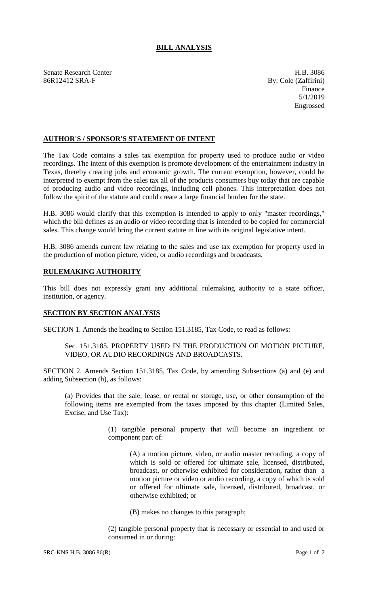# **BILL ANALYSIS**

Senate Research Center **H.B.** 3086 86R12412 SRA-F By: Cole (Zaffirini)

Finance 5/1/2019 Engrossed

## **AUTHOR'S / SPONSOR'S STATEMENT OF INTENT**

The Tax Code contains a sales tax exemption for property used to produce audio or video recordings. The intent of this exemption is promote development of the entertainment industry in Texas, thereby creating jobs and economic growth. The current exemption, however, could be interpreted to exempt from the sales tax all of the products consumers buy today that are capable of producing audio and video recordings, including cell phones. This interpretation does not follow the spirit of the statute and could create a large financial burden for the state.

H.B. 3086 would clarify that this exemption is intended to apply to only "master recordings," which the bill defines as an audio or video recording that is intended to be copied for commercial sales. This change would bring the current statute in line with its original legislative intent.

H.B. 3086 amends current law relating to the sales and use tax exemption for property used in the production of motion picture, video, or audio recordings and broadcasts.

# **RULEMAKING AUTHORITY**

This bill does not expressly grant any additional rulemaking authority to a state officer, institution, or agency.

#### **SECTION BY SECTION ANALYSIS**

SECTION 1. Amends the heading to Section 151.3185, Tax Code, to read as follows:

#### Sec. 151.3185. PROPERTY USED IN THE PRODUCTION OF MOTION PICTURE, VIDEO, OR AUDIO RECORDINGS AND BROADCASTS.

SECTION 2. Amends Section 151.3185, Tax Code, by amending Subsections (a) and (e) and adding Subsection (h), as follows:

(a) Provides that the sale, lease, or rental or storage, use, or other consumption of the following items are exempted from the taxes imposed by this chapter (Limited Sales, Excise, and Use Tax):

> (1) tangible personal property that will become an ingredient or component part of:

(A) a motion picture, video, or audio master recording, a copy of which is sold or offered for ultimate sale, licensed, distributed, broadcast, or otherwise exhibited for consideration, rather than a motion picture or video or audio recording, a copy of which is sold or offered for ultimate sale, licensed, distributed, broadcast, or otherwise exhibited; or

(B) makes no changes to this paragraph;

(2) tangible personal property that is necessary or essential to and used or consumed in or during: